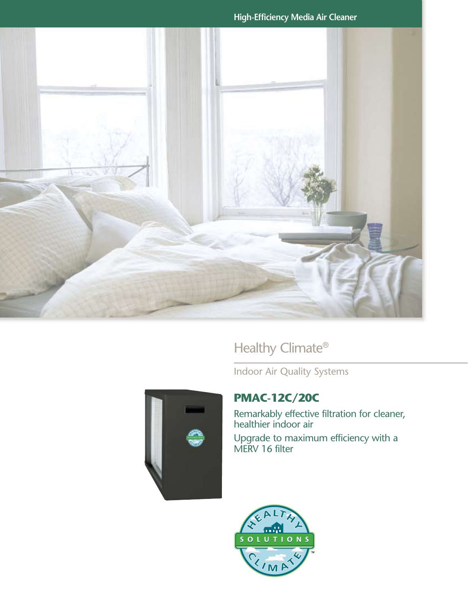**High-Efficiency Media Air Cleaner**



Healthy Climate®

Indoor Air Quality Systems



# **PMAC-12C/20C**

Remarkably effective filtration for cleaner, healthier indoor air

Upgrade to maximum efficiency with a MERV 16 filter